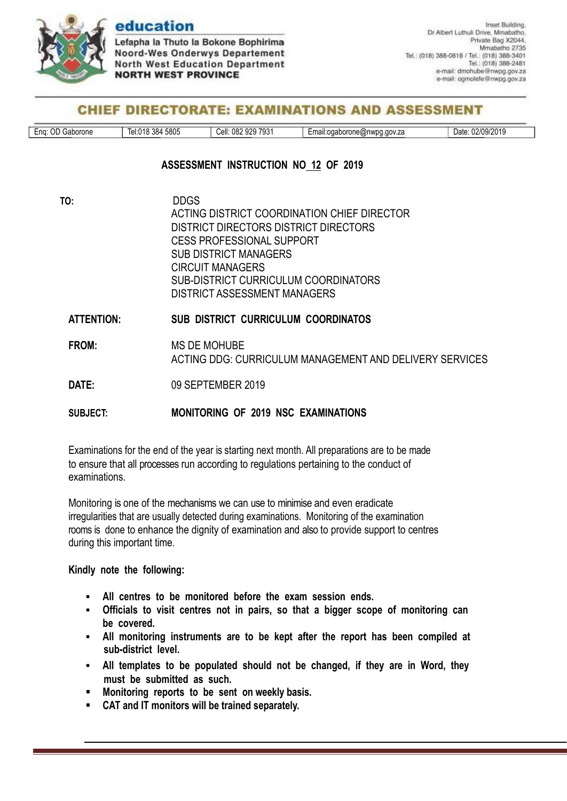

## education

Lefapha la Thuto la Bokone Bophirima Noord-Wes Onderwys Departement **North West Education Department NORTH WEST PROVINCE** 

### **CHIEF DIRECTORATE: EXAMINATIONS AND ASSESSMENT**

| $\sim$<br>$\sqrt{2}$<br>7021<br>5805<br>$\sim$ $\sim$ $\sim$<br>იიი<br>് 2/0°<br>082<br>384<br>∵^`اء∟<br>Cell:<br>.gov.za<br>$-nn$<br>erone<br>Date<br>wno<br>ano: '<br>,,<br>.<br>,ne@r<br>01<br>тван<br>ua<br>$\overline{J}$<br>JLJ<br>ں ر<br>.<br>٬ ۱٬ ۱٬<br>70 J L U T J<br>. . |  |
|-------------------------------------------------------------------------------------------------------------------------------------------------------------------------------------------------------------------------------------------------------------------------------------|--|
|-------------------------------------------------------------------------------------------------------------------------------------------------------------------------------------------------------------------------------------------------------------------------------------|--|

#### **ASSESSMENT INSTRUCTION NO 12 OF 2019**

| TO:               | <b>DDGS</b>                                             |
|-------------------|---------------------------------------------------------|
|                   | ACTING DISTRICT COORDINATION CHIEF DIRECTOR             |
|                   | DISTRICT DIRECTORS DISTRICT DIRECTORS                   |
|                   | <b>CESS PROFESSIONAL SUPPORT</b>                        |
|                   | <b>SUB DISTRICT MANAGERS</b>                            |
|                   | <b>CIRCUIT MANAGERS</b>                                 |
|                   | SUB-DISTRICT CURRICULUM COORDINATORS                    |
|                   | DISTRICT ASSESSMENT MANAGERS                            |
| <b>ATTENTION:</b> | <b>SUB DISTRICT CURRICULUM COORDINATOS</b>              |
| FROM:             | <b>MS DE MOHUBE</b>                                     |
|                   | ACTING DDG: CURRICULUM MANAGEMENT AND DELIVERY SERVICES |
|                   |                                                         |
| DATE:             | 09 SEPTEMBER 2019                                       |
|                   |                                                         |
| SUBJECT:          | MONITORING OF 2019 NSC EXAMINATIONS                     |

Examinations for the end of the year is starting next month. All preparations are to be made to ensure that all processes run according to regulations pertaining to the conduct of examinations.

Monitoring is one of the mechanisms we can use to minimise and even eradicate irregularities that are usually detected during examinations. Monitoring of the examination rooms is done to enhance the dignity of examination and also to provide support to centres during this important time.

**Kindly note the following:**

- **All centres to be monitored before the exam session ends.**
- **Officials to visit centres not in pairs, so that a bigger scope of monitoring can be covered.**
- **All monitoring instruments are to be kept after the report has been compiled at sub-district level.**
- **All templates to be populated should not be changed, if they are in Word, they must be submitted as such.**
- **Monitoring reports to be sent on weekly basis.**
- **CAT and IT monitors will be trained separately.**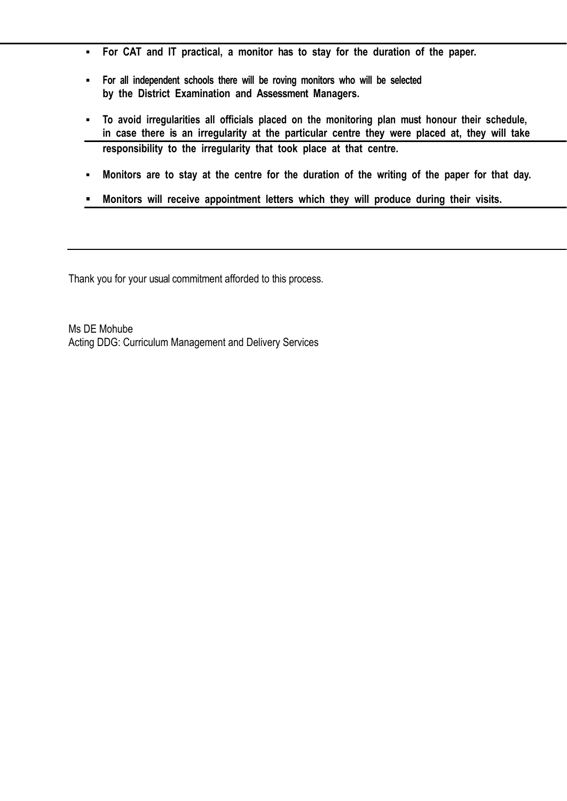- **For CAT and IT practical, a monitor has to stay for the duration of the paper.**
- **For all independent schools there will be roving monitors who will be selected by the District Examination and Assessment Managers.**
- **To avoid irregularities all officials placed on the monitoring plan must honour their schedule, in case there is an irregularity at the particular centre they were placed at, they will take responsibility to the irregularity that took place at that centre.**
- . Monitors are to stay at the centre for the duration of the writing of the paper for that day.
- **Monitors will receive appointment letters which they will produce during their visits.**

Thank you for your usual commitment afforded to this process.

Ms DE Mohube Acting DDG: Curriculum Management and Delivery Services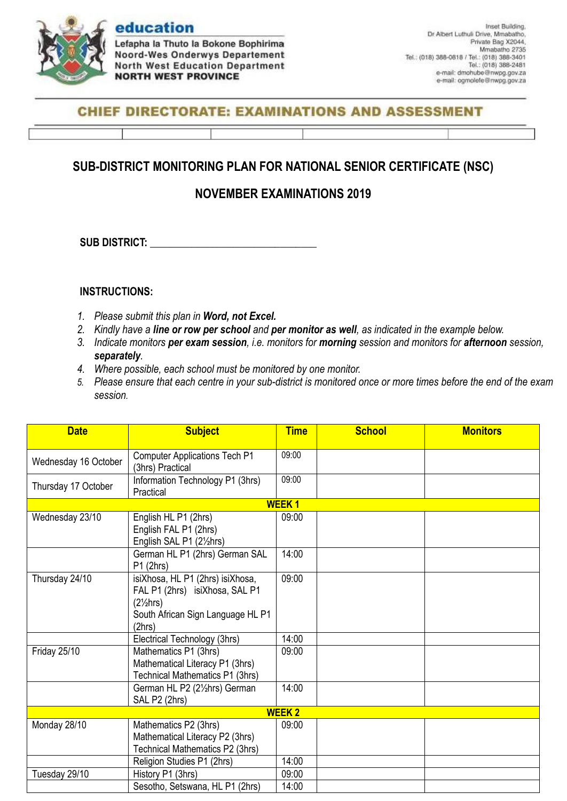

Lefapha la Thuto la Bokone Bophirima **Noord-Wes Onderwys Departement North West Education Department NORTH WEST PROVINCE** 

### **CHIEF DIRECTORATE: EXAMINATIONS AND ASSESSMENT**

# **SUB-DISTRICT MONITORING PLAN FOR NATIONAL SENIOR CERTIFICATE (NSC)**

## **NOVEMBER EXAMINATIONS 2019**

**SUB DISTRICT:**  $\blacksquare$ 

#### **INSTRUCTIONS:**

- *1. Please submit this plan in Word, not Excel.*
- *2. Kindly have a line or row per school and per monitor as well, as indicated in the example below.*
- *3. Indicate monitors per exam session, i.e. monitors for morning session and monitors for afternoon session, separately.*
- *4. Where possible, each school must be monitored by one monitor.*
- *5. Please ensure that each centre in your sub-district is monitored once or more times before the end of the exam session.*

| <b>Date</b>          | <b>Subject</b>                                                                                                                           | <b>Time</b>  | <b>School</b> | <b>Monitors</b> |
|----------------------|------------------------------------------------------------------------------------------------------------------------------------------|--------------|---------------|-----------------|
| Wednesday 16 October | <b>Computer Applications Tech P1</b><br>(3hrs) Practical                                                                                 | 09:00        |               |                 |
| Thursday 17 October  | Information Technology P1 (3hrs)<br>Practical                                                                                            | 09:00        |               |                 |
|                      |                                                                                                                                          | <b>WEEK1</b> |               |                 |
| Wednesday 23/10      | English HL P1 (2hrs)<br>English FAL P1 (2hrs)<br>English SAL P1 (21/2hrs)                                                                | 09:00        |               |                 |
|                      | German HL P1 (2hrs) German SAL<br>P1(2hrs)                                                                                               | 14:00        |               |                 |
| Thursday 24/10       | isiXhosa, HL P1 (2hrs) isiXhosa,<br>FAL P1 (2hrs) isiXhosa, SAL P1<br>$(2\frac{1}{2}hrs)$<br>South African Sign Language HL P1<br>(2hrs) | 09:00        |               |                 |
|                      | Electrical Technology (3hrs)                                                                                                             | 14:00        |               |                 |
| <b>Friday 25/10</b>  | Mathematics P1 (3hrs)<br>Mathematical Literacy P1 (3hrs)<br>Technical Mathematics P1 (3hrs)                                              | 09:00        |               |                 |
|                      | German HL P2 (21/2hrs) German<br>SAL P2 (2hrs)                                                                                           | 14:00        |               |                 |
|                      |                                                                                                                                          | <b>WEEK2</b> |               |                 |
| Monday 28/10         | Mathematics P2 (3hrs)<br>Mathematical Literacy P2 (3hrs)<br>Technical Mathematics P2 (3hrs)                                              | 09:00        |               |                 |
|                      | Religion Studies P1 (2hrs)                                                                                                               | 14:00        |               |                 |
| Tuesday 29/10        | History P1 (3hrs)                                                                                                                        | 09:00        |               |                 |
|                      | Sesotho, Setswana, HL P1 (2hrs)                                                                                                          | 14:00        |               |                 |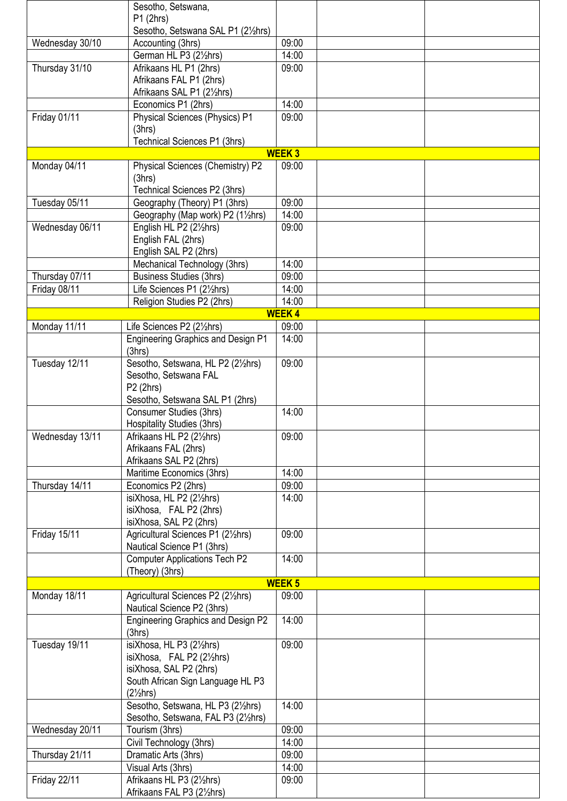|                 | Sesotho, Setswana,                                          |               |  |
|-----------------|-------------------------------------------------------------|---------------|--|
|                 | P1(2hrs)                                                    |               |  |
|                 | Sesotho, Setswana SAL P1 (21/2hrs)                          |               |  |
| Wednesday 30/10 | Accounting (3hrs)                                           | 09:00         |  |
|                 | German HL P3 (21/ <sub>2</sub> hrs)                         | 14:00         |  |
| Thursday 31/10  | Afrikaans HL P1 (2hrs)                                      | 09:00         |  |
|                 | Afrikaans FAL P1 (2hrs)                                     |               |  |
|                 | Afrikaans SAL P1 (21/2hrs)                                  |               |  |
|                 | Economics P1 (2hrs)                                         | 14:00         |  |
| Friday 01/11    | <b>Physical Sciences (Physics) P1</b>                       | 09:00         |  |
|                 | (3hrs)                                                      |               |  |
|                 | Technical Sciences P1 (3hrs)                                |               |  |
|                 |                                                             | <b>WEEK3</b>  |  |
| Monday 04/11    | Physical Sciences (Chemistry) P2                            | 09:00         |  |
|                 | (3hrs)                                                      |               |  |
|                 | Technical Sciences P2 (3hrs)                                |               |  |
| Tuesday 05/11   | Geography (Theory) P1 (3hrs)                                | 09:00         |  |
|                 | Geography (Map work) P2 (11/2hrs)                           | 14:00         |  |
| Wednesday 06/11 | English HL P2 (21/ <sub>2</sub> hrs)                        | 09:00         |  |
|                 | English FAL (2hrs)                                          |               |  |
|                 | English SAL P2 (2hrs)                                       |               |  |
|                 | Mechanical Technology (3hrs)                                | 14:00         |  |
| Thursday 07/11  | <b>Business Studies (3hrs)</b>                              | 09:00         |  |
| Friday 08/11    | Life Sciences P1 (21/ <sub>2</sub> hrs)                     | 14:00         |  |
|                 | Religion Studies P2 (2hrs)                                  | 14:00         |  |
|                 |                                                             | <b>WEEK4</b>  |  |
| Monday 11/11    | Life Sciences P2 (21/ <sub>2</sub> hrs)                     | 09:00         |  |
|                 | <b>Engineering Graphics and Design P1</b>                   | 14:00         |  |
|                 | (3hrs)                                                      | 09:00         |  |
| Tuesday 12/11   | Sesotho, Setswana, HL P2 (21/2hrs)<br>Sesotho, Setswana FAL |               |  |
|                 | P2 (2hrs)                                                   |               |  |
|                 | Sesotho, Setswana SAL P1 (2hrs)                             |               |  |
|                 | Consumer Studies (3hrs)                                     | 14:00         |  |
|                 | <b>Hospitality Studies (3hrs)</b>                           |               |  |
| Wednesday 13/11 | Afrikaans HL P2 (21/2hrs)                                   | 09:00         |  |
|                 | Afrikaans FAL (2hrs)                                        |               |  |
|                 | Afrikaans SAL P2 (2hrs)                                     |               |  |
|                 | Maritime Economics (3hrs)                                   | 14:00         |  |
| Thursday 14/11  | Economics P2 (2hrs)                                         | 09:00         |  |
|                 | isiXhosa, HL P2 (21/2hrs)                                   | 14:00         |  |
|                 | isiXhosa, FAL P2 (2hrs)                                     |               |  |
|                 | isiXhosa, SAL P2 (2hrs)                                     |               |  |
| Friday 15/11    | Agricultural Sciences P1 (21/2hrs)                          | 09:00         |  |
|                 | Nautical Science P1 (3hrs)                                  |               |  |
|                 | <b>Computer Applications Tech P2</b>                        | 14:00         |  |
|                 | (Theory) (3hrs)                                             |               |  |
|                 |                                                             | <b>WEEK 5</b> |  |
| Monday 18/11    | Agricultural Sciences P2 (21/2hrs)                          | 09:00         |  |
|                 | Nautical Science P2 (3hrs)                                  |               |  |
|                 | <b>Engineering Graphics and Design P2</b>                   | 14:00         |  |
|                 | (3hrs)                                                      |               |  |
| Tuesday 19/11   | isiXhosa, HL P3 (21/2hrs)                                   | 09:00         |  |
|                 | isiXhosa, FAL P2 (21/2hrs)                                  |               |  |
|                 | isiXhosa, SAL P2 (2hrs)                                     |               |  |
|                 | South African Sign Language HL P3                           |               |  |
|                 | $(2\frac{1}{2}hrs)$                                         |               |  |
|                 | Sesotho, Setswana, HL P3 (21/2hrs)                          | 14:00         |  |
|                 | Sesotho, Setswana, FAL P3 (21/2hrs)                         |               |  |
| Wednesday 20/11 | Tourism (3hrs)                                              | 09:00         |  |
|                 | Civil Technology (3hrs)                                     | 14:00         |  |
| Thursday 21/11  | Dramatic Arts (3hrs)                                        | 09:00         |  |
|                 | Visual Arts (3hrs)                                          | 14:00         |  |
| Friday 22/11    | Afrikaans HL P3 (21/2hrs)                                   | 09:00         |  |
|                 | Afrikaans FAL P3 (21/2hrs)                                  |               |  |